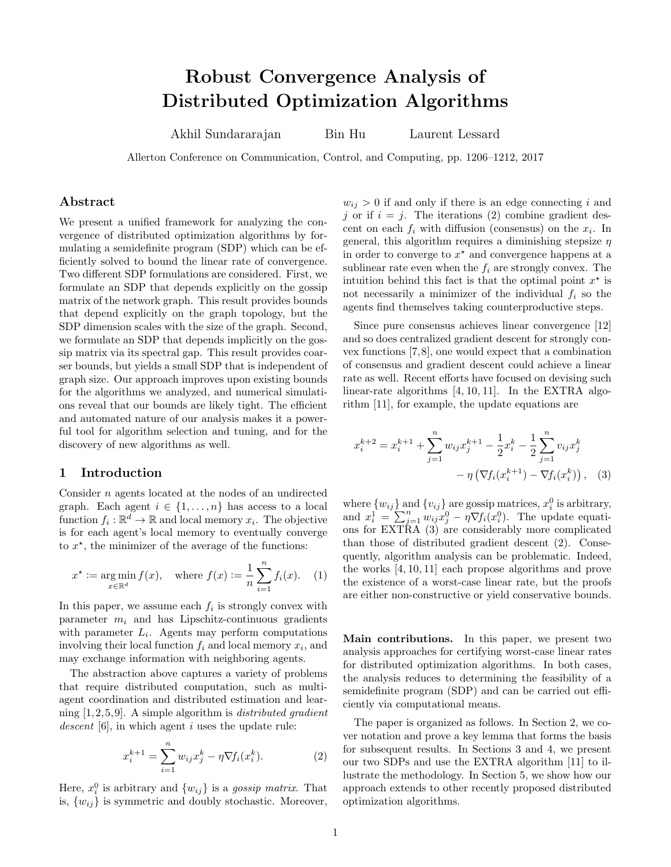# Robust Convergence Analysis of Distributed Optimization Algorithms

Akhil Sundararajan Bin Hu Laurent Lessard

Allerton Conference on Communication, Control, and Computing, pp. 1206–1212, 2017

### Abstract

We present a unified framework for analyzing the convergence of distributed optimization algorithms by formulating a semidefinite program (SDP) which can be efficiently solved to bound the linear rate of convergence. Two different SDP formulations are considered. First, we formulate an SDP that depends explicitly on the gossip matrix of the network graph. This result provides bounds that depend explicitly on the graph topology, but the SDP dimension scales with the size of the graph. Second, we formulate an SDP that depends implicitly on the gossip matrix via its spectral gap. This result provides coarser bounds, but yields a small SDP that is independent of graph size. Our approach improves upon existing bounds for the algorithms we analyzed, and numerical simulations reveal that our bounds are likely tight. The efficient and automated nature of our analysis makes it a powerful tool for algorithm selection and tuning, and for the discovery of new algorithms as well.

### 1 Introduction

Consider n agents located at the nodes of an undirected graph. Each agent  $i \in \{1, \ldots, n\}$  has access to a local function  $f_i: \mathbb{R}^d \to \mathbb{R}$  and local memory  $x_i$ . The objective is for each agent's local memory to eventually converge to  $x^*$ , the minimizer of the average of the functions:

<span id="page-0-2"></span>
$$
x^* := \underset{x \in \mathbb{R}^d}{\arg \min} f(x), \text{ where } f(x) := \frac{1}{n} \sum_{i=1}^n f_i(x). \quad (1)
$$

In this paper, we assume each  $f_i$  is strongly convex with parameter  $m_i$  and has Lipschitz-continuous gradients with parameter  $L_i$ . Agents may perform computations involving their local function  $f_i$  and local memory  $x_i$ , and may exchange information with neighboring agents.

The abstraction above captures a variety of problems that require distributed computation, such as multiagent coordination and distributed estimation and learning  $[1, 2, 5, 9]$  $[1, 2, 5, 9]$  $[1, 2, 5, 9]$  $[1, 2, 5, 9]$ . A simple algorithm is *distributed gradient* descent  $[6]$ , in which agent i uses the update rule:

<span id="page-0-0"></span>
$$
x_i^{k+1} = \sum_{i=1}^n w_{ij} x_j^k - \eta \nabla f_i(x_i^k).
$$
 (2)

Here,  $x_i^0$  is arbitrary and  $\{w_{ij}\}\$ is a gossip matrix. That is,  $\{w_{ij}\}\$ is symmetric and doubly stochastic. Moreover,  $w_{ij} > 0$  if and only if there is an edge connecting i and j or if  $i = j$ . The iterations [\(2\)](#page-0-0) combine gradient descent on each  $f_i$  with diffusion (consensus) on the  $x_i$ . In general, this algorithm requires a diminishing stepsize  $\eta$ in order to converge to  $x^*$  and convergence happens at a sublinear rate even when the  $f_i$  are strongly convex. The intuition behind this fact is that the optimal point  $x^*$  is not necessarily a minimizer of the individual  $f_i$  so the agents find themselves taking counterproductive steps.

Since pure consensus achieves linear convergence [\[12\]](#page-5-5) and so does centralized gradient descent for strongly convex functions [\[7,](#page-5-6)[8\]](#page-5-7), one would expect that a combination of consensus and gradient descent could achieve a linear rate as well. Recent efforts have focused on devising such linear-rate algorithms [\[4,](#page-5-8) [10,](#page-5-9) [11\]](#page-5-10). In the EXTRA algorithm [\[11\]](#page-5-10), for example, the update equations are

<span id="page-0-1"></span>
$$
x_i^{k+2} = x_i^{k+1} + \sum_{j=1}^n w_{ij} x_j^{k+1} - \frac{1}{2} x_i^k - \frac{1}{2} \sum_{j=1}^n v_{ij} x_j^k - \eta \left( \nabla f_i (x_i^{k+1}) - \nabla f_i (x_i^k) \right), \quad (3)
$$

where  $\{w_{ij}\}$  and  $\{v_{ij}\}$  are gossip matrices,  $x_i^0$  is arbitrary, and  $x_i^1 = \sum_{j=1}^n w_{ij} x_j^0 - \eta \nabla f_i(x_i^0)$ . The update equations for EXTRA [\(3\)](#page-0-1) are considerably more complicated than those of distributed gradient descent [\(2\)](#page-0-0). Consequently, algorithm analysis can be problematic. Indeed, the works [\[4,](#page-5-8) [10,](#page-5-9) [11\]](#page-5-10) each propose algorithms and prove the existence of a worst-case linear rate, but the proofs are either non-constructive or yield conservative bounds.

Main contributions. In this paper, we present two analysis approaches for certifying worst-case linear rates for distributed optimization algorithms. In both cases, the analysis reduces to determining the feasibility of a semidefinite program (SDP) and can be carried out efficiently via computational means.

The paper is organized as follows. In Section [2,](#page-1-0) we cover notation and prove a key lemma that forms the basis for subsequent results. In Sections [3](#page-1-1) and [4,](#page-3-0) we present our two SDPs and use the EXTRA algorithm [\[11\]](#page-5-10) to illustrate the methodology. In Section [5,](#page-4-0) we show how our approach extends to other recently proposed distributed optimization algorithms.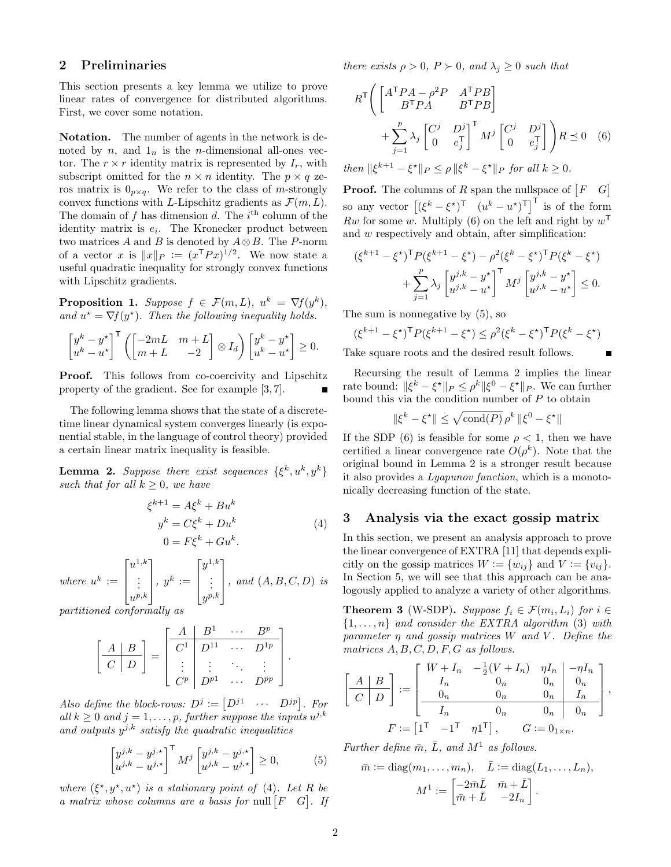#### <span id="page-1-0"></span>2 Preliminaries

This section presents a key lemma we utilize to prove linear rates of convergence for distributed algorithms. First, we cover some notation.

Notation. The number of agents in the network is denoted by n, and  $1_n$  is the n-dimensional all-ones vector. The  $r \times r$  identity matrix is represented by  $I_r$ , with subscript omitted for the  $n \times n$  identity. The  $p \times q$  zeros matrix is  $0_{p\times q}$ . We refer to the class of *m*-strongly convex functions with L-Lipschitz gradients as  $\mathcal{F}(m,L)$ . The domain of f has dimension d. The  $i<sup>th</sup>$  column of the identity matrix is  $e_i$ . The Kronecker product between two matrices A and B is denoted by  $A \otimes B$ . The P-norm of a vector x is  $||x||_P := (x^T P x)^{1/2}$ . We now state a useful quadratic inequality for strongly convex functions with Lipschitz gradients.

<span id="page-1-6"></span>**Proposition 1.** Suppose  $f \in \mathcal{F}(m, L)$ ,  $u^k = \nabla f(y^k)$ , and  $u^* = \nabla f(y^*)$ . Then the following inequality holds.

$$
\begin{bmatrix} y^k - y^{\star} \\ u^k - u^{\star} \end{bmatrix}^\mathsf{T} \left( \begin{bmatrix} -2mL & m+L \\ m+L & -2 \end{bmatrix} \otimes I_d \right) \begin{bmatrix} y^k - y^{\star} \\ u^k - u^{\star} \end{bmatrix} \geq 0.
$$

Proof. This follows from co-coercivity and Lipschitz property of the gradient. See for example [\[3,](#page-5-11) [7\]](#page-5-6).

The following lemma shows that the state of a discretetime linear dynamical system converges linearly (is exponential stable, in the language of control theory) provided a certain linear matrix inequality is feasible.

<span id="page-1-5"></span>**Lemma 2.** Suppose there exist sequences  $\{\xi^k, u^k, y^k\}$ such that for all  $k > 0$ , we have

<span id="page-1-2"></span>
$$
\xi^{k+1} = A\xi^k + Bu^k
$$
  
\n
$$
y^k = C\xi^k + Du^k
$$
  
\n
$$
0 = F\xi^k + Gu^k.
$$
\n(4)

where 
$$
u^k := \begin{bmatrix} u^{1,k} \\ \vdots \\ u^{p,k} \end{bmatrix}
$$
,  $y^k := \begin{bmatrix} y^{1,k} \\ \vdots \\ y^{p,k} \end{bmatrix}$ , and  $(A, B, C, D)$  is

partitioned conformally as

$$
\left[\begin{array}{c|ccc} A & B \\ \hline C & D \end{array}\right] = \left[\begin{array}{c|ccc} A & B^1 & \cdots & B^p \\ \hline C^1 & D^{11} & \cdots & D^{1p} \\ \vdots & \vdots & \ddots & \vdots \\ C^p & D^{p1} & \cdots & D^{pp} \end{array}\right].
$$

Also define the block-rows:  $D^j := [D^{j1} \cdots D^{jp}]$ . For all  $k \geq 0$  and  $j = 1, \ldots, p$ , further suppose the inputs  $u^{j,k}$ and outputs  $y^{j,k}$  satisfy the quadratic inequalities

<span id="page-1-4"></span>
$$
\begin{bmatrix} y^{j,k} - y^{j,\star} \\ u^{j,k} - u^{j,\star} \end{bmatrix}^{\mathsf{T}} M^j \begin{bmatrix} y^{j,k} - y^{j,\star} \\ u^{j,k} - u^{j,\star} \end{bmatrix} \ge 0,
$$
 (5)

where  $(\xi^*, y^*, u^*)$  is a stationary point of [\(4\)](#page-1-2). Let R be a matrix whose columns are a basis for null  $\begin{bmatrix} F & G \end{bmatrix}$ . If there exists  $\rho > 0$ ,  $P \succ 0$ , and  $\lambda_j \geq 0$  such that

<span id="page-1-3"></span>
$$
R^{\mathsf{T}} \Bigg( \begin{bmatrix} A^{\mathsf{T}} P A - \rho^2 P & A^{\mathsf{T}} P B \\ B^{\mathsf{T}} P A & B^{\mathsf{T}} P B \end{bmatrix} + \sum_{j=1}^{p} \lambda_j \begin{bmatrix} C^j & D^j \\ 0 & e_j^{\mathsf{T}} \end{bmatrix}^{\mathsf{T}} M^j \begin{bmatrix} C^j & D^j \\ 0 & e_j^{\mathsf{T}} \end{bmatrix} \Bigg) R \preceq 0 \quad (6)
$$

then  $\|\xi^{k+1} - \xi^{\star}\|_{P} \le \rho \|\xi^{k} - \xi^{\star}\|_{P}$  for all  $k \ge 0$ .

**Proof.** The columns of R span the nullspace of  $\begin{bmatrix} F & G \end{bmatrix}$ so any vector  $[(\xi^k - \xi^*)^{\mathsf{T}} \quad (u^k - u^*)^{\mathsf{T}}]^{\mathsf{T}}$  is of the form Rw for some w. Multiply [\(6\)](#page-1-3) on the left and right by  $w^{\mathsf{T}}$ and w respectively and obtain, after simplification:

$$
(\xi^{k+1} - \xi^{\star})^{\mathsf{T}} P(\xi^{k+1} - \xi^{\star}) - \rho^2 (\xi^k - \xi^{\star})^{\mathsf{T}} P(\xi^k - \xi^{\star})
$$

$$
+ \sum_{j=1}^p \lambda_j \begin{bmatrix} y^{j,k} - y^{\star} \\ u^{j,k} - u^{\star} \end{bmatrix}^{\mathsf{T}} M^j \begin{bmatrix} y^{j,k} - y^{\star} \\ u^{j,k} - u^{\star} \end{bmatrix} \leq 0.
$$

The sum is nonnegative by [\(5\)](#page-1-4), so

$$
(\xi^{k+1} - \xi^{\star})^{\mathsf{T}} P(\xi^{k+1} - \xi^{\star}) \le \rho^2 (\xi^k - \xi^{\star})^{\mathsf{T}} P(\xi^k - \xi^{\star})
$$

Take square roots and the desired result follows.

Recursing the result of Lemma [2](#page-1-5) implies the linear rate bound:  $\|\xi^k - \xi^{\star}\|_P \le \rho^k \|\xi^0 - \xi^{\star}\|_P$ . We can further bound this via the condition number of  $P$  to obtain

$$
\|\xi^k - \xi^\star\| \le \sqrt{\text{cond}(P)} \,\rho^k \, \|\xi^0 - \xi^\star\|
$$

If the SDP [\(6\)](#page-1-3) is feasible for some  $\rho < 1$ , then we have certified a linear convergence rate  $O(\rho^k)$ . Note that the original bound in Lemma [2](#page-1-5) is a stronger result because it also provides a Lyapunov function, which is a monotonically decreasing function of the state.

## <span id="page-1-1"></span>3 Analysis via the exact gossip matrix

In this section, we present an analysis approach to prove the linear convergence of EXTRA [\[11\]](#page-5-10) that depends explicitly on the gossip matrices  $W := \{w_{ij}\}\$ and  $V := \{v_{ij}\}.$ In Section [5,](#page-4-0) we will see that this approach can be analogously applied to analyze a variety of other algorithms.

<span id="page-1-7"></span>**Theorem 3** (W-SDP). Suppose  $f_i \in \mathcal{F}(m_i, L_i)$  for  $i \in$  $\{1, \ldots, n\}$  and consider the EXTRA algorithm [\(3\)](#page-0-1) with parameter  $\eta$  and gossip matrices W and V. Define the matrices  $A, B, C, D, F, G$  as follows.

$$
\left[\begin{array}{c|c} A & B \\ \hline C & D \end{array}\right] := \left[\begin{array}{cccc} W + I_n & -\frac{1}{2}(V + I_n) & \eta I_n & -\eta I_n \\ I_n & 0_n & 0_n & 0_n \\ 0_n & 0_n & 0_n & I_n \\ I_n & 0_n & 0_n & 0_n \end{array}\right],
$$
  

$$
F := \left[\begin{matrix} 1^{\mathsf{T}} & -1^{\mathsf{T}} & \eta 1^{\mathsf{T}} \end{matrix}\right], \quad G := 0_{1 \times n}.
$$

Further define  $\bar{m}$ ,  $\bar{L}$ , and  $M^1$  as follows.

$$
\bar{m} := \text{diag}(m_1, \dots, m_n), \quad \bar{L} := \text{diag}(L_1, \dots, L_n),
$$

$$
M^1 := \begin{bmatrix} -2\bar{m}\bar{L} & \bar{m} + \bar{L} \\ \bar{m} + \bar{L} & -2I_n \end{bmatrix}.
$$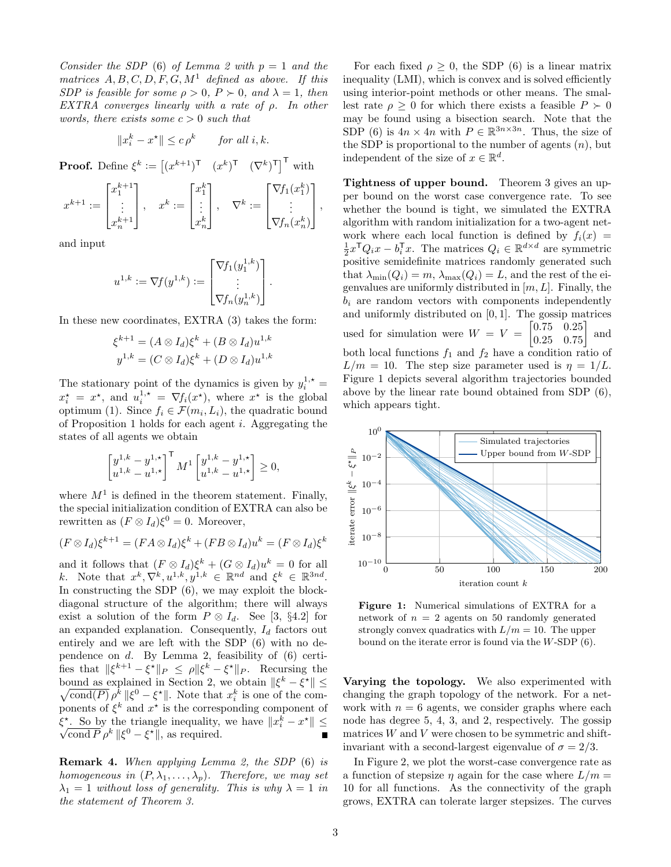Consider the SDP [\(6\)](#page-1-3) of Lemma [2](#page-1-5) with  $p = 1$  and the matrices  $A, B, C, D, F, G, M<sup>1</sup>$  defined as above. If this SDP is feasible for some  $\rho > 0$ ,  $P \succ 0$ , and  $\lambda = 1$ , then EXTRA converges linearly with a rate of ρ. In other words, there exists some  $c > 0$  such that

$$
||x_i^k - x^{\star}|| \le c\rho^k \quad \text{for all } i, k.
$$

**Proof.** Define  $\xi^k := \begin{bmatrix} (x^{k+1})^{\mathsf{T}} & (x^k)^{\mathsf{T}} & (\nabla^k)^{\mathsf{T}} \end{bmatrix}^{\mathsf{T}}$  with

$$
x^{k+1} := \begin{bmatrix} x_1^{k+1} \\ \vdots \\ x_n^{k+1} \end{bmatrix}, \quad x^k := \begin{bmatrix} x_1^k \\ \vdots \\ x_n^k \end{bmatrix}, \quad \nabla^k := \begin{bmatrix} \nabla f_1(x_1^k) \\ \vdots \\ \nabla f_n(x_n^k) \end{bmatrix},
$$

and input

$$
u^{1,k} := \nabla f(y^{1,k}) := \begin{bmatrix} \nabla f_1(y_1^{1,k}) \\ \vdots \\ \nabla f_n(y_n^{1,k}) \end{bmatrix}.
$$

In these new coordinates, EXTRA [\(3\)](#page-0-1) takes the form:

$$
\xi^{k+1} = (A \otimes I_d)\xi^k + (B \otimes I_d)u^{1,k}
$$
  

$$
y^{1,k} = (C \otimes I_d)\xi^k + (D \otimes I_d)u^{1,k}
$$

The stationary point of the dynamics is given by  $y_i^{1,*} =$  $x_i^* = x^*$ , and  $u_i^{1,*} = \nabla f_i(x^*)$ , where  $x^*$  is the global optimum [\(1\)](#page-0-2). Since  $f_i \in \mathcal{F}(m_i, L_i)$ , the quadratic bound of Proposition [1](#page-1-6) holds for each agent  $i$ . Aggregating the states of all agents we obtain

$$
\begin{bmatrix} y^{1,k} - y^{1,\star} \\ u^{1,k} - u^{1,\star} \end{bmatrix}^\mathsf{T} M^1 \begin{bmatrix} y^{1,k} - y^{1,\star} \\ u^{1,k} - u^{1,\star} \end{bmatrix} \ge 0,
$$

where  $M<sup>1</sup>$  is defined in the theorem statement. Finally, the special initialization condition of EXTRA can also be rewritten as  $(F \otimes I_d)\xi^0 = 0$ . Moreover,

$$
(F \otimes I_d)\xi^{k+1} = (FA \otimes I_d)\xi^k + (FB \otimes I_d)u^k = (F \otimes I_d)\xi^k
$$

and it follows that  $(F \otimes I_d)\xi^k + (G \otimes I_d)u^k = 0$  for all k. Note that  $x^k, \nabla^k, u^{1,k}, y^{1,k} \in \mathbb{R}^{nd}$  and  $\xi^k \in \mathbb{R}^{3nd}$ . In constructing the SDP [\(6\)](#page-1-3), we may exploit the blockdiagonal structure of the algorithm; there will always exist a solution of the form  $P \otimes I_d$ . See [\[3,](#page-5-11) §4.2] for an expanded explanation. Consequently,  $I_d$  factors out entirely and we are left with the SDP [\(6\)](#page-1-3) with no dependence on  $d$ . By Lemma [2,](#page-1-5) feasibility of  $(6)$  certifies that  $\|\xi^{k+1} - \xi^{\star}\|_{P} \le \rho \|\xi^{k} - \xi^{\star}\|_{P}$ . Recursing the bound as explained in Section [2,](#page-1-0) we obtain  $\|\xi^k - \xi^{\star}\|$   $\leq$  $\sqrt{\text{cond}(P)} \rho^k \|\xi^0 - \xi^{\star}\|$ . Note that  $x_i^k$  is one of the components of  $\xi^k$  and  $x^*$  is the corresponding component of  $\xi^*$ . So by the triangle inequality, we have  $||x_i^k - x^*|| \leq$ cond  $\overline{P} \rho^k \|\xi^0 - \xi^{\star}\|$ , as required.  $\blacksquare$ 

Remark 4. When applying Lemma [2,](#page-1-5) the SDP [\(6\)](#page-1-3) is homogeneous in  $(P, \lambda_1, \ldots, \lambda_p)$ . Therefore, we may set  $\lambda_1 = 1$  without loss of generality. This is why  $\lambda = 1$  in the statement of Theorem [3.](#page-1-7)

For each fixed  $\rho > 0$ , the SDP [\(6\)](#page-1-3) is a linear matrix inequality (LMI), which is convex and is solved efficiently using interior-point methods or other means. The smallest rate  $\rho > 0$  for which there exists a feasible  $P \succ 0$ may be found using a bisection search. Note that the SDP [\(6\)](#page-1-3) is  $4n \times 4n$  with  $P \in \mathbb{R}^{3n \times 3n}$ . Thus, the size of the SDP is proportional to the number of agents  $(n)$ , but independent of the size of  $x \in \mathbb{R}^d$ .

Tightness of upper bound. Theorem [3](#page-1-7) gives an upper bound on the worst case convergence rate. To see whether the bound is tight, we simulated the EXTRA algorithm with random initialization for a two-agent network where each local function is defined by  $f_i(x) =$  $\frac{1}{2}x^{\mathsf{T}}Q_ix - b_i^{\mathsf{T}}x$ . The matrices  $Q_i \in \mathbb{R}^{d \times d}$  are symmetric positive semidefinite matrices randomly generated such that  $\lambda_{\min}(Q_i) = m$ ,  $\lambda_{\max}(Q_i) = L$ , and the rest of the eigenvalues are uniformly distributed in  $[m, L]$ . Finally, the  $b_i$  are random vectors with components independently and uniformly distributed on  $[0, 1]$ . The gossip matrices used for simulation were  $W = V = \begin{bmatrix} 0.75 & 0.25 \\ 0.25 & 0.75 \end{bmatrix}$ and both local functions  $f_1$  and  $f_2$  have a condition ratio of  $L/m = 10$ . The step size parameter used is  $\eta = 1/L$ . Figure [1](#page-2-0) depicts several algorithm trajectories bounded above by the linear rate bound obtained from SDP [\(6\)](#page-1-3), which appears tight.

<span id="page-2-0"></span>

Figure 1: Numerical simulations of EXTRA for a network of  $n = 2$  agents on 50 randomly generated strongly convex quadratics with  $L/m = 10$ . The upper bound on the iterate error is found via the W-SDP [\(6\)](#page-1-3).

Varying the topology. We also experimented with changing the graph topology of the network. For a network with  $n = 6$  agents, we consider graphs where each node has degree 5, 4, 3, and 2, respectively. The gossip matrices  $W$  and  $V$  were chosen to be symmetric and shiftinvariant with a second-largest eigenvalue of  $\sigma = 2/3$ .

In Figure [2,](#page-3-1) we plot the worst-case convergence rate as a function of stepsize  $\eta$  again for the case where  $L/m =$ 10 for all functions. As the connectivity of the graph grows, EXTRA can tolerate larger stepsizes. The curves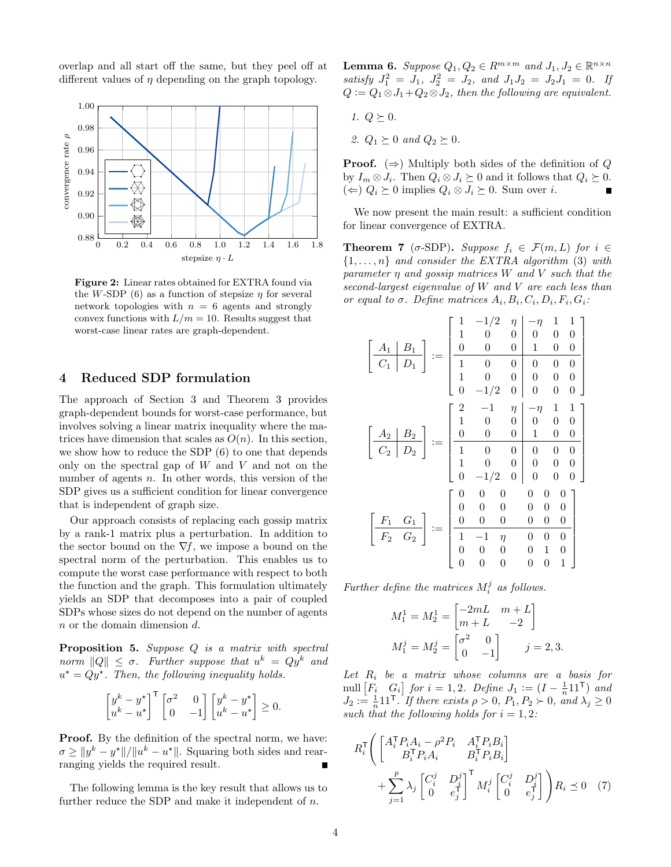overlap and all start off the same, but they peel off at different values of  $\eta$  depending on the graph topology.

<span id="page-3-1"></span>

Figure 2: Linear rates obtained for EXTRA found via the W-SDP [\(6\)](#page-1-3) as a function of stepsize  $\eta$  for several network topologies with  $n = 6$  agents and strongly convex functions with  $L/m = 10$ . Results suggest that worst-case linear rates are graph-dependent.

# <span id="page-3-0"></span>4 Reduced SDP formulation

The approach of Section [3](#page-1-1) and Theorem [3](#page-1-7) provides graph-dependent bounds for worst-case performance, but involves solving a linear matrix inequality where the matrices have dimension that scales as  $O(n)$ . In this section, we show how to reduce the SDP [\(6\)](#page-1-3) to one that depends only on the spectral gap of  $W$  and  $V$  and not on the number of agents  $n$ . In other words, this version of the SDP gives us a sufficient condition for linear convergence that is independent of graph size.

Our approach consists of replacing each gossip matrix by a rank-1 matrix plus a perturbation. In addition to the sector bound on the  $\nabla f$ , we impose a bound on the spectral norm of the perturbation. This enables us to compute the worst case performance with respect to both the function and the graph. This formulation ultimately yields an SDP that decomposes into a pair of coupled SDPs whose sizes do not depend on the number of agents n or the domain dimension d.

<span id="page-3-2"></span>**Proposition 5.** Suppose  $Q$  is a matrix with spectral norm  $||Q|| \leq \sigma$ . Further suppose that  $u^k = Qy^k$  and  $u^* = Qy^*$ . Then, the following inequality holds.

$$
\begin{bmatrix} y^k - y^{\star} \\ u^k - u^{\star} \end{bmatrix}^{\mathsf{T}} \begin{bmatrix} \sigma^2 & 0 \\ 0 & -1 \end{bmatrix} \begin{bmatrix} y^k - y^{\star} \\ u^k - u^{\star} \end{bmatrix} \ge 0.
$$

**Proof.** By the definition of the spectral norm, we have:  $\sigma \ge ||y^k - y^*||/||u^k - u^*||$ . Squaring both sides and rearranging yields the required result.

The following lemma is the key result that allows us to further reduce the SDP and make it independent of n.

**Lemma 6.** Suppose  $Q_1, Q_2 \in R^{m \times m}$  and  $J_1, J_2 \in \mathbb{R}^{n \times n}$ satisfy  $J_1^2 = J_1$ ,  $J_2^2 = J_2$ , and  $J_1J_2 = J_2J_1 = 0$ . If  $Q := Q_1 \otimes J_1 + Q_2 \otimes J_2$ , then the following are equivalent.

- 1.  $Q \succeq 0$ .
- 2.  $Q_1 \succeq 0$  and  $Q_2 \succeq 0$ .

**Proof.** ( $\Rightarrow$ ) Multiply both sides of the definition of Q by  $I_m \otimes J_i$ . Then  $Q_i \otimes J_i \succeq 0$  and it follows that  $Q_i \succeq 0$ . (←)  $Q_i \succeq 0$  implies  $Q_i \otimes J_i \succeq 0$ . Sum over *i*.

We now present the main result: a sufficient condition for linear convergence of EXTRA.

<span id="page-3-4"></span>**Theorem 7** ( $\sigma$ -SDP). Suppose  $f_i \in \mathcal{F}(m,L)$  for  $i \in$  $\{1, \ldots, n\}$  and consider the EXTRA algorithm [\(3\)](#page-0-1) with parameter  $\eta$  and gossip matrices W and V such that the second-largest eigenvalue of W and V are each less than or equal to  $\sigma$ . Define matrices  $A_i, B_i, C_i, D_i, F_i, G_i$ :

$$
\begin{bmatrix}\nA_1 & B_1 \\
C_1 & D_1\n\end{bmatrix} := \begin{bmatrix}\n1 & -1/2 & \eta & -\eta & 1 & 1 \\
1 & 0 & 0 & 0 & 0 & 0 \\
0 & 0 & 0 & 1 & 0 & 0 \\
1 & 0 & 0 & 0 & 0 & 0 \\
1 & 0 & 0 & 0 & 0 & 0 \\
0 & -1/2 & 0 & 0 & 0 & 0\n\end{bmatrix}
$$
\n
$$
\begin{bmatrix}\nA_2 & B_2 \\
C_2 & D_2\n\end{bmatrix} := \begin{bmatrix}\n2 & -1 & \eta & -\eta & 1 & 1 \\
1 & 0 & 0 & 0 & 0 & 0 \\
0 & 0 & 0 & 1 & 0 & 0 \\
1 & 0 & 0 & 0 & 0 & 0 \\
1 & 0 & 0 & 0 & 0 & 0 \\
0 & -1/2 & 0 & 0 & 0 & 0\n\end{bmatrix}
$$
\n
$$
\begin{bmatrix}\nF_1 & G_1 \\
F_2 & G_2\n\end{bmatrix} := \begin{bmatrix}\n0 & 0 & 0 & 0 & 0 & 0 & 0 \\
0 & 0 & 0 & 0 & 0 & 0 & 0 \\
0 & 0 & 0 & 0 & 0 & 0 & 0 \\
0 & 0 & 0 & 0 & 0 & 0 & 0 \\
0 & 0 & 0 & 0 & 0 & 1 & 0 \\
0 & 0 & 0 & 0 & 0 & 1\n\end{bmatrix}
$$

Further define the matrices  $M_i^j$  as follows.

$$
M_1^1 = M_2^1 = \begin{bmatrix} -2mL & m+L \\ m+L & -2 \end{bmatrix}
$$
  

$$
M_1^j = M_2^j = \begin{bmatrix} \sigma^2 & 0 \\ 0 & -1 \end{bmatrix} \qquad j = 2, 3.
$$

Let  $R_i$  be a matrix whose columns are a basis for null  $\begin{bmatrix} F_i & G_i \end{bmatrix}$  for  $i = 1, 2$ . Define  $J_1 := (I - \frac{1}{n} \mathbb{1} \mathbb{1}^\mathsf{T})$  and  $J_2 := \frac{1}{n} 11^{\mathsf{T}}$ . If there exists  $\rho > 0$ ,  $P_1, P_2 \succ 0$ , and  $\lambda_j \geq 0$ such that the following holds for  $i = 1, 2$ :

<span id="page-3-3"></span>
$$
R_i^{\mathsf{T}} \Bigg( \begin{bmatrix} A_i^{\mathsf{T}} P_i A_i - \rho^2 P_i & A_i^{\mathsf{T}} P_i B_i \\ B_i^{\mathsf{T}} P_i A_i & B_i^{\mathsf{T}} P_i B_i \end{bmatrix} + \sum_{j=1}^p \lambda_j \begin{bmatrix} C_i^j & D_i^j \\ 0 & e_j^{\mathsf{T}} \end{bmatrix}^{\mathsf{T}} M_i^j \begin{bmatrix} C_i^j & D_i^j \\ 0 & e_j^{\mathsf{T}} \end{bmatrix} \Bigg) R_i \preceq 0 \quad (7)
$$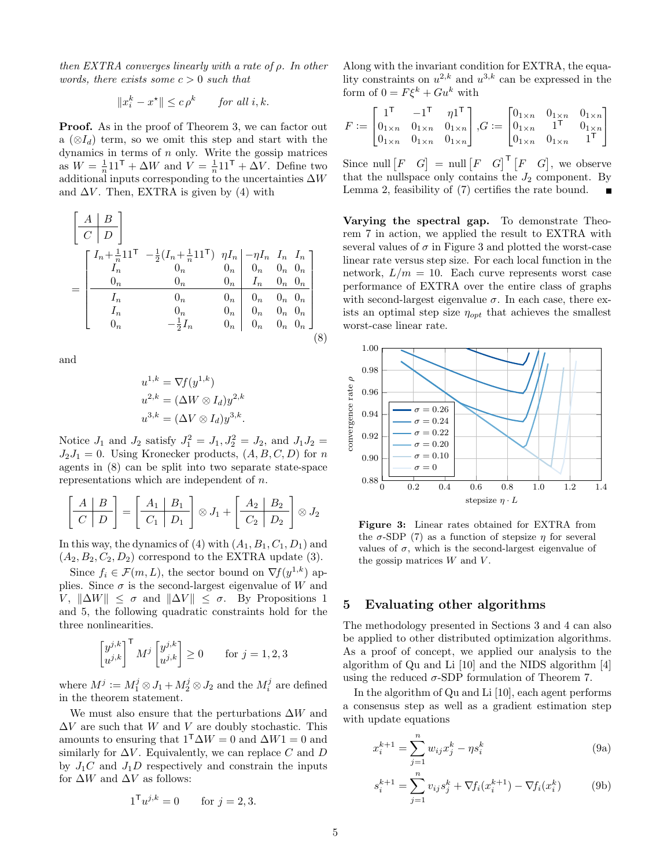then  $EXTRA$  converges linearly with a rate of  $\rho$ . In other words, there exists some  $c > 0$  such that

$$
||x_i^k - x^*|| \le c\rho^k \quad \text{for all } i, k.
$$

**Proof.** As in the proof of Theorem [3,](#page-1-7) we can factor out a  $(\otimes I_d)$  term, so we omit this step and start with the dynamics in terms of  $n$  only. Write the gossip matrices as  $W = \frac{1}{n} 11^{\mathsf{T}} + \Delta W$  and  $V = \frac{1}{n} 11^{\mathsf{T}} + \Delta V$ . Define two additional inputs corresponding to the uncertainties  $\Delta W$ and  $\Delta V$ . Then, EXTRA is given by [\(4\)](#page-1-2) with

$$
\begin{bmatrix}\nA & B \\
C & D\n\end{bmatrix}\n= \n\begin{bmatrix}\nI_n + \frac{1}{n} 11^{\mathsf{T}} & -\frac{1}{2} (I_n + \frac{1}{n} 11^{\mathsf{T}}) & \eta I_n & -\eta I_n & I_n & I_n \\
I_n & 0_n & 0_n & 0_n & 0_n & 0_n \\
0_n & 0_n & 0_n & I_n & 0_n & 0_n \\
I_n & 0_n & 0_n & 0_n & 0_n & 0_n \\
I_n & 0_n & 0_n & 0_n & 0_n & 0_n \\
0_n & -\frac{1}{2} I_n & 0_n & 0_n & 0_n & 0_n\n\end{bmatrix}
$$
\n(8)

and

$$
u^{1,k} = \nabla f(y^{1,k})
$$
  
\n
$$
u^{2,k} = (\Delta W \otimes I_d) y^{2,k}
$$
  
\n
$$
u^{3,k} = (\Delta V \otimes I_d) y^{3,k}.
$$

Notice  $J_1$  and  $J_2$  satisfy  $J_1^2 = J_1, J_2^2 = J_2$ , and  $J_1 J_2 =$  $J_2J_1 = 0$ . Using Kronecker products,  $(A, B, C, D)$  for n agents in [\(8\)](#page-4-1) can be split into two separate state-space representations which are independent of n.

$$
\left[\begin{array}{c|c} A & B \\ \hline C & D \end{array}\right] = \left[\begin{array}{c|c} A_1 & B_1 \\ \hline C_1 & D_1 \end{array}\right] \otimes J_1 + \left[\begin{array}{c|c} A_2 & B_2 \\ \hline C_2 & D_2 \end{array}\right] \otimes J_2
$$

In this way, the dynamics of [\(4\)](#page-1-2) with  $(A_1, B_1, C_1, D_1)$  and  $(A_2, B_2, C_2, D_2)$  correspond to the EXTRA update [\(3\)](#page-0-1).

Since  $f_i \in \mathcal{F}(m, L)$ , the sector bound on  $\nabla f(y^{1,k})$  applies. Since  $\sigma$  is the second-largest eigenvalue of W and V,  $\|\Delta W\| \leq \sigma$  and  $\|\Delta V\| \leq \sigma$ . By Propositions [1](#page-1-6) and [5,](#page-3-2) the following quadratic constraints hold for the three nonlinearities.

$$
\begin{bmatrix} y^{j,k} \\ u^{j,k} \end{bmatrix}^{\mathsf{T}} M^j \begin{bmatrix} y^{j,k} \\ u^{j,k} \end{bmatrix} \ge 0 \quad \text{for } j = 1, 2, 3
$$

where  $M^j := M_1^j \otimes J_1 + M_2^j \otimes J_2$  and the  $M_i^j$  are defined in the theorem statement.

We must also ensure that the perturbations  $\Delta W$  and  $\Delta V$  are such that W and V are doubly stochastic. This amounts to ensuring that  $1^{\mathsf{T}}\Delta W = 0$  and  $\Delta W1 = 0$  and similarly for  $\Delta V$ . Equivalently, we can replace C and D by  $J_1C$  and  $J_1D$  respectively and constrain the inputs for  $\Delta W$  and  $\Delta V$  as follows:

$$
1^{\mathsf{T}} u^{j,k} = 0
$$
 for  $j = 2, 3$ .

Along with the invariant condition for EXTRA, the equality constraints on  $u^{2,k}$  and  $u^{3,k}$  can be expressed in the form of  $0 = F\xi^k + Gu^k$  with

$$
F := \begin{bmatrix} 1^{\mathsf{T}} & -1^{\mathsf{T}} & \eta 1^{\mathsf{T}} \\ 0_{1 \times n} & 0_{1 \times n} & 0_{1 \times n} \\ 0_{1 \times n} & 0_{1 \times n} & 0_{1 \times n} \end{bmatrix}, G := \begin{bmatrix} 0_{1 \times n} & 0_{1 \times n} & 0_{1 \times n} \\ 0_{1 \times n} & 1^{\mathsf{T}} & 0_{1 \times n} \\ 0_{1 \times n} & 0_{1 \times n} & 1^{\mathsf{T}} \end{bmatrix}
$$

Since null  $\begin{bmatrix} F & G \end{bmatrix} = \text{null} \begin{bmatrix} F & G \end{bmatrix}^{\mathsf{T}} \begin{bmatrix} F & G \end{bmatrix}$ , we observe that the nullspace only contains the  $J_2$  component. By Lemma [2,](#page-1-5) feasibility of [\(7\)](#page-3-3) certifies the rate bound.

Varying the spectral gap. To demonstrate Theorem [7](#page-3-4) in action, we applied the result to EXTRA with several values of  $\sigma$  in Figure [3](#page-4-2) and plotted the worst-case linear rate versus step size. For each local function in the network,  $L/m = 10$ . Each curve represents worst case performance of EXTRA over the entire class of graphs with second-largest eigenvalue  $\sigma$ . In each case, there exists an optimal step size  $\eta_{opt}$  that achieves the smallest worst-case linear rate.

<span id="page-4-2"></span><span id="page-4-1"></span>

Figure 3: Linear rates obtained for EXTRA from the  $\sigma$ -SDP [\(7\)](#page-3-3) as a function of stepsize  $\eta$  for several values of  $\sigma$ , which is the second-largest eigenvalue of the gossip matrices  $W$  and  $V$ .

#### <span id="page-4-0"></span>5 Evaluating other algorithms

The methodology presented in Sections [3](#page-1-1) and [4](#page-3-0) can also be applied to other distributed optimization algorithms. As a proof of concept, we applied our analysis to the algorithm of Qu and Li [\[10\]](#page-5-9) and the NIDS algorithm [\[4\]](#page-5-8) using the reduced  $\sigma$ -SDP formulation of Theorem [7.](#page-3-4)

In the algorithm of Qu and Li [\[10\]](#page-5-9), each agent performs a consensus step as well as a gradient estimation step with update equations

$$
x_i^{k+1} = \sum_{j=1}^n w_{ij} x_j^k - \eta s_i^k
$$
 (9a)

$$
s_i^{k+1} = \sum_{j=1}^n v_{ij} s_j^k + \nabla f_i(x_i^{k+1}) - \nabla f_i(x_i^k)
$$
 (9b)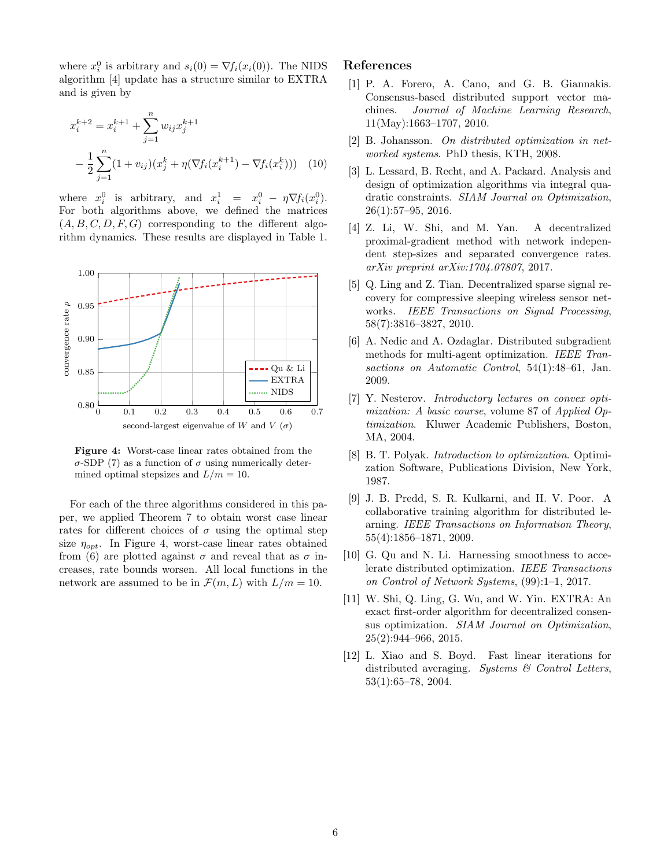where  $x_i^0$  is arbitrary and  $s_i(0) = \nabla f_i(x_i(0))$ . The NIDS algorithm [\[4\]](#page-5-8) update has a structure similar to EXTRA and is given by

$$
x_i^{k+2} = x_i^{k+1} + \sum_{j=1}^n w_{ij} x_j^{k+1}
$$
  
- 
$$
\frac{1}{2} \sum_{j=1}^n (1 + v_{ij}) (x_j^k + \eta (\nabla f_i (x_i^{k+1}) - \nabla f_i (x_i^k))) \quad (10)
$$

where  $x_i^0$  is arbitrary, and  $x_i^1 = x_i^0 - \eta \nabla f_i(x_i^0)$ . For both algorithms above, we defined the matrices  $(A, B, C, D, F, G)$  corresponding to the different algorithm dynamics. These results are displayed in Table [1.](#page-6-0)

<span id="page-5-12"></span>

Figure 4: Worst-case linear rates obtained from the σ-SDP [\(7\)](#page-3-3) as a function of σ using numerically determined optimal stepsizes and  $L/m = 10$ .

For each of the three algorithms considered in this paper, we applied Theorem [7](#page-3-4) to obtain worst case linear rates for different choices of  $\sigma$  using the optimal step size  $\eta_{opt}$ . In Figure [4,](#page-5-12) worst-case linear rates obtained from [\(6\)](#page-1-3) are plotted against  $\sigma$  and reveal that as  $\sigma$  increases, rate bounds worsen. All local functions in the network are assumed to be in  $\mathcal{F}(m,L)$  with  $L/m = 10$ .

# References

- <span id="page-5-0"></span>[1] P. A. Forero, A. Cano, and G. B. Giannakis. Consensus-based distributed support vector machines. Journal of Machine Learning Research, 11(May):1663–1707, 2010.
- <span id="page-5-1"></span>[2] B. Johansson. On distributed optimization in networked systems. PhD thesis, KTH, 2008.
- <span id="page-5-11"></span>[3] L. Lessard, B. Recht, and A. Packard. Analysis and design of optimization algorithms via integral quadratic constraints. SIAM Journal on Optimization, 26(1):57–95, 2016.
- <span id="page-5-8"></span>[4] Z. Li, W. Shi, and M. Yan. A decentralized proximal-gradient method with network independent step-sizes and separated convergence rates. arXiv preprint arXiv:1704.07807, 2017.
- <span id="page-5-2"></span>[5] Q. Ling and Z. Tian. Decentralized sparse signal recovery for compressive sleeping wireless sensor networks. IEEE Transactions on Signal Processing, 58(7):3816–3827, 2010.
- <span id="page-5-4"></span>[6] A. Nedic and A. Ozdaglar. Distributed subgradient methods for multi-agent optimization. IEEE Transactions on Automatic Control, 54(1):48–61, Jan. 2009.
- <span id="page-5-6"></span>[7] Y. Nesterov. Introductory lectures on convex optimization: A basic course, volume 87 of Applied Optimization. Kluwer Academic Publishers, Boston, MA, 2004.
- <span id="page-5-7"></span>[8] B. T. Polyak. *Introduction to optimization*. Optimization Software, Publications Division, New York, 1987.
- <span id="page-5-3"></span>[9] J. B. Predd, S. R. Kulkarni, and H. V. Poor. A collaborative training algorithm for distributed learning. IEEE Transactions on Information Theory, 55(4):1856–1871, 2009.
- <span id="page-5-9"></span>[10] G. Qu and N. Li. Harnessing smoothness to accelerate distributed optimization. IEEE Transactions on Control of Network Systems, (99):1–1, 2017.
- <span id="page-5-10"></span>[11] W. Shi, Q. Ling, G. Wu, and W. Yin. EXTRA: An exact first-order algorithm for decentralized consensus optimization. SIAM Journal on Optimization, 25(2):944–966, 2015.
- <span id="page-5-5"></span>[12] L. Xiao and S. Boyd. Fast linear iterations for distributed averaging. Systems & Control Letters, 53(1):65–78, 2004.